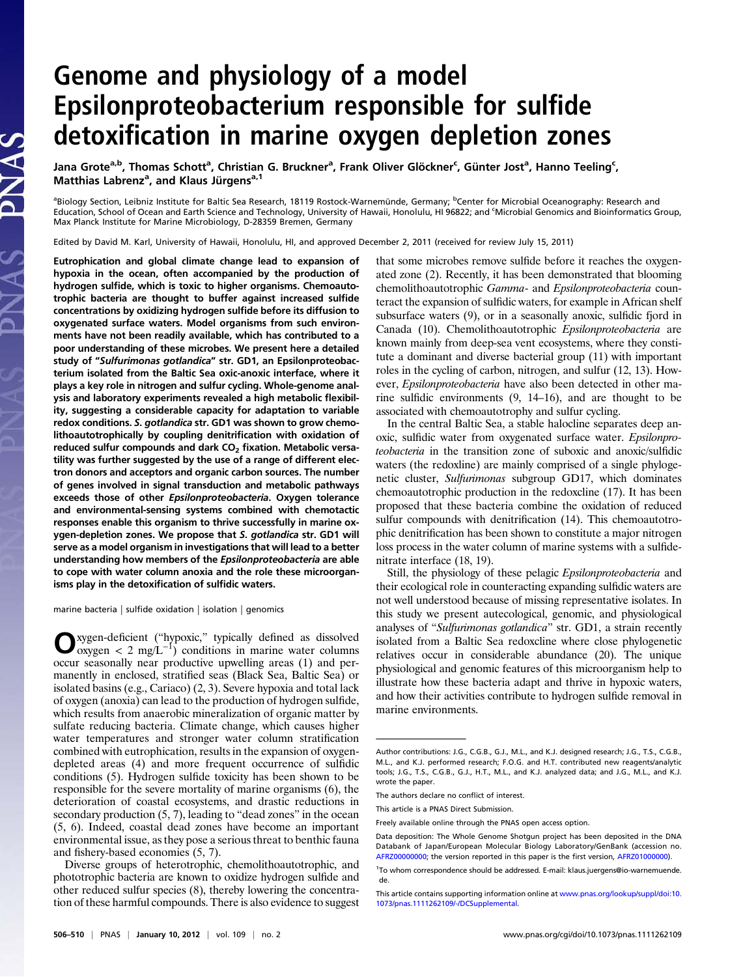## Genome and physiology of a model Epsilonproteobacterium responsible for sulfide detoxification in marine oxygen depletion zones

Jana Grote<sup>a,b</sup>, Thomas Schott<sup>a</sup>, Christian G. Bruckner<sup>a</sup>, Frank Oliver Glöckner<sup>c</sup>, Günter Jost<sup>a</sup>, Hanno Teeling<sup>c</sup>, Matthias Labrenz<sup>a</sup>, and Klaus Jürgens<sup>a, 1</sup>

<sup>a</sup>Biology Section, Leibniz Institute for Baltic Sea Research, 18119 Rostock-Warnemünde, Germany; <sup>b</sup>Center for Microbial Oceanography: Research and Education, School of Ocean and Earth Science and Technology, University of Hawaii, Honolulu, HI 96822; and <sup>c</sup> Microbial Genomics and Bioinformatics Group, Max Planck Institute for Marine Microbiology, D-28359 Bremen, Germany

Edited by David M. Karl, University of Hawaii, Honolulu, HI, and approved December 2, 2011 (received for review July 15, 2011)

Eutrophication and global climate change lead to expansion of hypoxia in the ocean, often accompanied by the production of hydrogen sulfide, which is toxic to higher organisms. Chemoautotrophic bacteria are thought to buffer against increased sulfide concentrations by oxidizing hydrogen sulfide before its diffusion to oxygenated surface waters. Model organisms from such environments have not been readily available, which has contributed to a poor understanding of these microbes. We present here a detailed study of "Sulfurimonas gotlandica" str. GD1, an Epsilonproteobacterium isolated from the Baltic Sea oxic-anoxic interface, where it plays a key role in nitrogen and sulfur cycling. Whole-genome analysis and laboratory experiments revealed a high metabolic flexibility, suggesting a considerable capacity for adaptation to variable redox conditions. S. gotlandica str. GD1 was shown to grow chemolithoautotrophically by coupling denitrification with oxidation of reduced sulfur compounds and dark  $CO<sub>2</sub>$  fixation. Metabolic versatility was further suggested by the use of a range of different electron donors and acceptors and organic carbon sources. The number of genes involved in signal transduction and metabolic pathways exceeds those of other Epsilonproteobacteria. Oxygen tolerance and environmental-sensing systems combined with chemotactic responses enable this organism to thrive successfully in marine oxygen-depletion zones. We propose that S. gotlandica str. GD1 will serve as a model organism in investigations that will lead to a better understanding how members of the Epsilonproteobacteria are able to cope with water column anoxia and the role these microorganisms play in the detoxification of sulfidic waters.

marine bacteria | sulfide oxidation | isolation | genomics

PNAS

Oxygen-deficient ("hypoxic," typically defined as dissolved oxygen < 2 mg/L−<sup>1</sup> ) conditions in marine water columns occur seasonally near productive upwelling areas (1) and permanently in enclosed, stratified seas (Black Sea, Baltic Sea) or isolated basins (e.g., Cariaco) (2, 3). Severe hypoxia and total lack of oxygen (anoxia) can lead to the production of hydrogen sulfide, which results from anaerobic mineralization of organic matter by sulfate reducing bacteria. Climate change, which causes higher water temperatures and stronger water column stratification combined with eutrophication, results in the expansion of oxygendepleted areas (4) and more frequent occurrence of sulfidic conditions (5). Hydrogen sulfide toxicity has been shown to be responsible for the severe mortality of marine organisms (6), the deterioration of coastal ecosystems, and drastic reductions in secondary production (5, 7), leading to "dead zones" in the ocean (5, 6). Indeed, coastal dead zones have become an important environmental issue, as they pose a serious threat to benthic fauna and fishery-based economies (5, 7).

Diverse groups of heterotrophic, chemolithoautotrophic, and phototrophic bacteria are known to oxidize hydrogen sulfide and other reduced sulfur species (8), thereby lowering the concentration of these harmful compounds. There is also evidence to suggest

that some microbes remove sulfide before it reaches the oxygenated zone (2). Recently, it has been demonstrated that blooming chemolithoautotrophic Gamma- and Epsilonproteobacteria counteract the expansion of sulfidic waters, for example in African shelf subsurface waters (9), or in a seasonally anoxic, sulfidic fjord in Canada (10). Chemolithoautotrophic Epsilonproteobacteria are known mainly from deep-sea vent ecosystems, where they constitute a dominant and diverse bacterial group (11) with important roles in the cycling of carbon, nitrogen, and sulfur (12, 13). However, Epsilonproteobacteria have also been detected in other marine sulfidic environments (9, 14–16), and are thought to be associated with chemoautotrophy and sulfur cycling.

In the central Baltic Sea, a stable halocline separates deep anoxic, sulfidic water from oxygenated surface water. Epsilonproteobacteria in the transition zone of suboxic and anoxic/sulfidic waters (the redoxline) are mainly comprised of a single phylogenetic cluster, Sulfurimonas subgroup GD17, which dominates chemoautotrophic production in the redoxcline (17). It has been proposed that these bacteria combine the oxidation of reduced sulfur compounds with denitrification (14). This chemoautotrophic denitrification has been shown to constitute a major nitrogen loss process in the water column of marine systems with a sulfidenitrate interface (18, 19).

Still, the physiology of these pelagic Epsilonproteobacteria and their ecological role in counteracting expanding sulfidic waters are not well understood because of missing representative isolates. In this study we present autecological, genomic, and physiological analyses of "Sulfurimonas gotlandica" str. GD1, a strain recently isolated from a Baltic Sea redoxcline where close phylogenetic relatives occur in considerable abundance (20). The unique physiological and genomic features of this microorganism help to illustrate how these bacteria adapt and thrive in hypoxic waters, and how their activities contribute to hydrogen sulfide removal in marine environments.

Author contributions: J.G., C.G.B., G.J., M.L., and K.J. designed research; J.G., T.S., C.G.B., M.L., and K.J. performed research; F.O.G. and H.T. contributed new reagents/analytic tools; J.G., T.S., C.G.B., G.J., H.T., M.L., and K.J. analyzed data; and J.G., M.L., and K.J. wrote the paper.

The authors declare no conflict of interest.

This article is a PNAS Direct Submission.

Freely available online through the PNAS open access option.

Data deposition: The Whole Genome Shotgun project has been deposited in the DNA Databank of Japan/European Molecular Biology Laboratory/GenBank (accession no. [AFRZ00000000;](http://www.pnas.org/external-ref?link_type=GEN&access_num=AFRZ00000000) the version reported in this paper is the first version, [AFRZ01000000](http://www.pnas.org/external-ref?link_type=GEN&access_num=AFRZ01000000)).

<sup>&</sup>lt;sup>1</sup>To whom correspondence should be addressed. E-mail: [klaus.juergens@io-warnemuende.](mailto:klaus.juergens@io-warnemuende.de) [de.](mailto:klaus.juergens@io-warnemuende.de)

This article contains supporting information online at [www.pnas.org/lookup/suppl/doi:10.](http://www.pnas.org/lookup/suppl/doi:10.1073/pnas.1111262109/-/DCSupplemental) [1073/pnas.1111262109/-/DCSupplemental.](http://www.pnas.org/lookup/suppl/doi:10.1073/pnas.1111262109/-/DCSupplemental)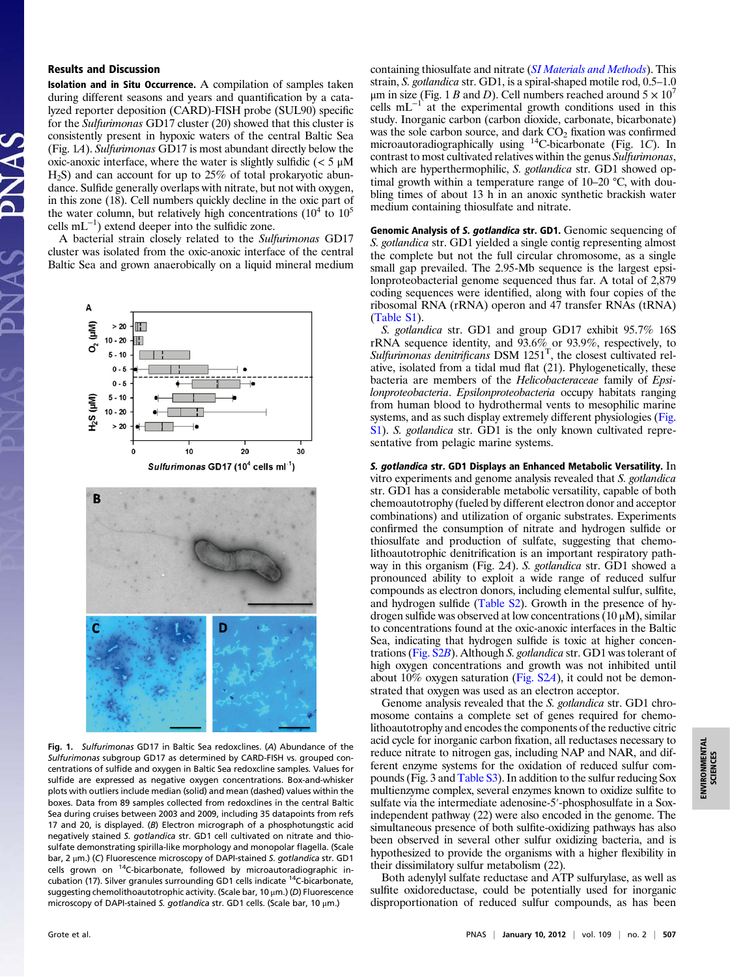## Results and Discussion

Isolation and in Situ Occurrence. A compilation of samples taken during different seasons and years and quantification by a catalyzed reporter deposition (CARD)-FISH probe (SUL90) specific for the Sulfurimonas GD17 cluster (20) showed that this cluster is consistently present in hypoxic waters of the central Baltic Sea (Fig. 1A). Sulfurimonas GD17 is most abundant directly below the oxic-anoxic interface, where the water is slightly sulfidic  $\left\langle \right. < 5 \mu M$  $H<sub>2</sub>S$ ) and can account for up to 25% of total prokaryotic abundance. Sulfide generally overlaps with nitrate, but not with oxygen, in this zone (18). Cell numbers quickly decline in the oxic part of the water column, but relatively high concentrations  $(10^4 \text{ to } 10^5$ cells mL−<sup>1</sup> ) extend deeper into the sulfidic zone.

A bacterial strain closely related to the Sulfurimonas GD17 cluster was isolated from the oxic-anoxic interface of the central Baltic Sea and grown anaerobically on a liquid mineral medium



Fig. 1. Sulfurimonas GD17 in Baltic Sea redoxclines. (A) Abundance of the Sulfurimonas subgroup GD17 as determined by CARD-FISH vs. grouped concentrations of sulfide and oxygen in Baltic Sea redoxcline samples. Values for sulfide are expressed as negative oxygen concentrations. Box-and-whisker plots with outliers include median (solid) and mean (dashed) values within the boxes. Data from 89 samples collected from redoxclines in the central Baltic Sea during cruises between 2003 and 2009, including 35 datapoints from refs 17 and 20, is displayed. (B) Electron micrograph of a phosphotungstic acid negatively stained S. gotlandica str. GD1 cell cultivated on nitrate and thiosulfate demonstrating spirilla-like morphology and monopolar flagella. (Scale bar, 2 μm.) (C) Fluorescence microscopy of DAPI-stained S. gotlandica str. GD1 cells grown on <sup>14</sup>C-bicarbonate, followed by microautoradiographic incubation (17). Silver granules surrounding GD1 cells indicate <sup>14</sup>C-bicarbonate, suggesting chemolithoautotrophic activity. (Scale bar, 10 μm.) (D) Fluorescence microscopy of DAPI-stained S. gotlandica str. GD1 cells. (Scale bar, 10  $\mu$ m.)

containing thiosulfate and nitrate ([SI Materials and Methods](http://www.pnas.org/lookup/suppl/doi:10.1073/pnas.1111262109/-/DCSupplemental/pnas.201111262SI.pdf?targetid=nameddest=STXT)). This strain, S. gotlandica str. GD1, is a spiral-shaped motile rod, 0.5–1.0 μm in size (Fig. 1 B and D). Cell numbers reached around  $5 \times 10^7$ cells mL $^{-1}$  at the experimental growth conditions used in this study. Inorganic carbon (carbon dioxide, carbonate, bicarbonate) was the sole carbon source, and dark  $CO<sub>2</sub>$  fixation was confirmed microautoradiographically using  ${}^{14}$ C-bicarbonate (Fig. 1C). In contrast to most cultivated relatives within the genus Sulfurimonas, which are hyperthermophilic, S. gotlandica str. GD1 showed optimal growth within a temperature range of 10–20 °C, with doubling times of about 13 h in an anoxic synthetic brackish water medium containing thiosulfate and nitrate.

Genomic Analysis of S. gotlandica str. GD1. Genomic sequencing of S. gotlandica str. GD1 yielded a single contig representing almost the complete but not the full circular chromosome, as a single small gap prevailed. The 2.95-Mb sequence is the largest epsilonproteobacterial genome sequenced thus far. A total of 2,879 coding sequences were identified, along with four copies of the ribosomal RNA (rRNA) operon and 47 transfer RNAs (tRNA) [\(Table S1](http://www.pnas.org/lookup/suppl/doi:10.1073/pnas.1111262109/-/DCSupplemental/pnas.201111262SI.pdf?targetid=nameddest=ST1)).

S. gotlandica str. GD1 and group GD17 exhibit 95.7% 16S rRNA sequence identity, and 93.6% or 93.9%, respectively, to Sulfurimonas denitrificans  $DSM$   $1251<sup>T</sup>$ , the closest cultivated relative, isolated from a tidal mud flat (21). Phylogenetically, these bacteria are members of the Helicobacteraceae family of Epsilonproteobacteria. Epsilonproteobacteria occupy habitats ranging from human blood to hydrothermal vents to mesophilic marine systems, and as such display extremely different physiologies ([Fig.](http://www.pnas.org/lookup/suppl/doi:10.1073/pnas.1111262109/-/DCSupplemental/pnas.201111262SI.pdf?targetid=nameddest=SF1) [S1](http://www.pnas.org/lookup/suppl/doi:10.1073/pnas.1111262109/-/DCSupplemental/pnas.201111262SI.pdf?targetid=nameddest=SF1)). S. gotlandica str. GD1 is the only known cultivated representative from pelagic marine systems.

S. gotlandica str. GD1 Displays an Enhanced Metabolic Versatility. In vitro experiments and genome analysis revealed that S. gotlandica str. GD1 has a considerable metabolic versatility, capable of both chemoautotrophy (fueled by different electron donor and acceptor combinations) and utilization of organic substrates. Experiments confirmed the consumption of nitrate and hydrogen sulfide or thiosulfate and production of sulfate, suggesting that chemolithoautotrophic denitrification is an important respiratory pathway in this organism (Fig. 2A). S. gotlandica str. GD1 showed a pronounced ability to exploit a wide range of reduced sulfur compounds as electron donors, including elemental sulfur, sulfite, and hydrogen sulfide [\(Table S2](http://www.pnas.org/lookup/suppl/doi:10.1073/pnas.1111262109/-/DCSupplemental/pnas.201111262SI.pdf?targetid=nameddest=ST2)). Growth in the presence of hydrogen sulfide was observed at low concentrations  $(10 \mu M)$ , similar to concentrations found at the oxic-anoxic interfaces in the Baltic Sea, indicating that hydrogen sulfide is toxic at higher concentrations ([Fig. S2](http://www.pnas.org/lookup/suppl/doi:10.1073/pnas.1111262109/-/DCSupplemental/pnas.201111262SI.pdf?targetid=nameddest=SF2)B). Although S. gotlandica str. GD1 was tolerant of high oxygen concentrations and growth was not inhibited until about 10% oxygen saturation (Fig.  $S2A$ ), it could not be demonstrated that oxygen was used as an electron acceptor.

Genome analysis revealed that the S. gotlandica str. GD1 chromosome contains a complete set of genes required for chemolithoautotrophy and encodes the components of the reductive citric acid cycle for inorganic carbon fixation, all reductases necessary to reduce nitrate to nitrogen gas, including NAP and NAR, and different enzyme systems for the oxidation of reduced sulfur compounds (Fig. 3 and [Table S3\)](http://www.pnas.org/lookup/suppl/doi:10.1073/pnas.1111262109/-/DCSupplemental/pnas.201111262SI.pdf?targetid=nameddest=ST3). In addition to the sulfur reducing Sox multienzyme complex, several enzymes known to oxidize sulfite to sulfate via the intermediate adenosine-5′-phosphosulfate in a Soxindependent pathway (22) were also encoded in the genome. The simultaneous presence of both sulfite-oxidizing pathways has also been observed in several other sulfur oxidizing bacteria, and is hypothesized to provide the organisms with a higher flexibility in their dissimilatory sulfur metabolism (22).

Both adenylyl sulfate reductase and ATP sulfurylase, as well as sulfite oxidoreductase, could be potentially used for inorganic disproportionation of reduced sulfur compounds, as has been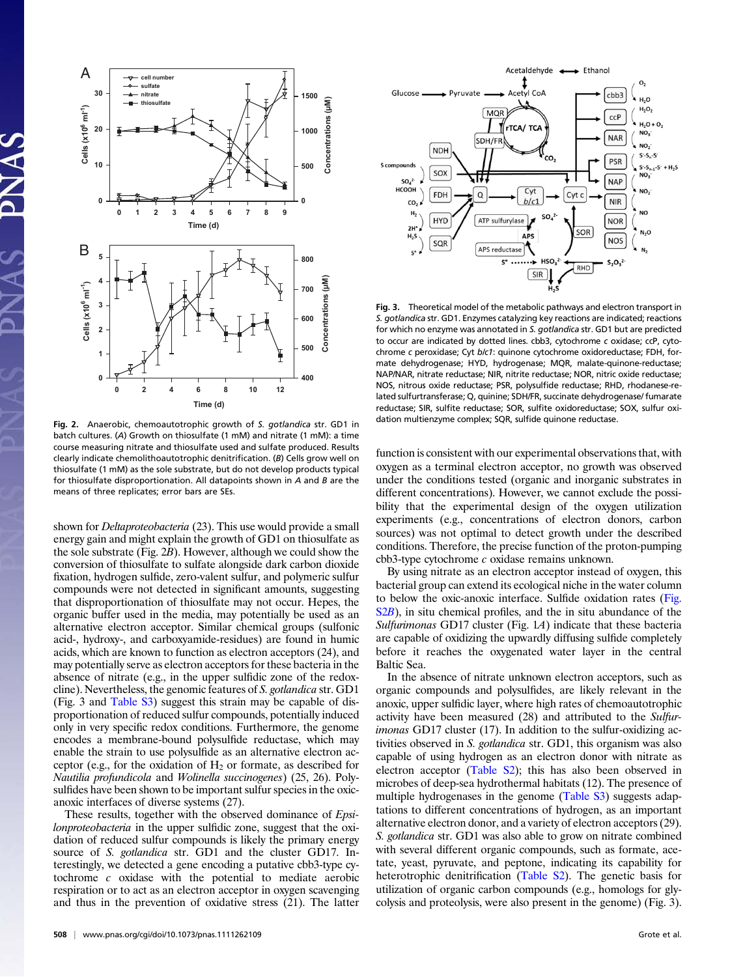

Fig. 2. Anaerobic, chemoautotrophic growth of S. gotlandica str. GD1 in batch cultures. (A) Growth on thiosulfate (1 mM) and nitrate (1 mM): a time course measuring nitrate and thiosulfate used and sulfate produced. Results clearly indicate chemolithoautotrophic denitrification. (B) Cells grow well on thiosulfate (1 mM) as the sole substrate, but do not develop products typical for thiosulfate disproportionation. All datapoints shown in A and B are the means of three replicates; error bars are SEs.

shown for *Deltaproteobacteria* (23). This use would provide a small energy gain and might explain the growth of GD1 on thiosulfate as the sole substrate (Fig. 2B). However, although we could show the conversion of thiosulfate to sulfate alongside dark carbon dioxide fixation, hydrogen sulfide, zero-valent sulfur, and polymeric sulfur compounds were not detected in significant amounts, suggesting that disproportionation of thiosulfate may not occur. Hepes, the organic buffer used in the media, may potentially be used as an alternative electron acceptor. Similar chemical groups (sulfonic acid-, hydroxy-, and carboxyamide-residues) are found in humic acids, which are known to function as electron acceptors (24), and may potentially serve as electron acceptors for these bacteria in the absence of nitrate (e.g., in the upper sulfidic zone of the redoxcline). Nevertheless, the genomic features of S. gotlandica str. GD1 (Fig. 3 and [Table S3\)](http://www.pnas.org/lookup/suppl/doi:10.1073/pnas.1111262109/-/DCSupplemental/pnas.201111262SI.pdf?targetid=nameddest=ST3) suggest this strain may be capable of disproportionation of reduced sulfur compounds, potentially induced only in very specific redox conditions. Furthermore, the genome encodes a membrane-bound polysulfide reductase, which may enable the strain to use polysulfide as an alternative electron acceptor (e.g., for the oxidation of  $H_2$  or formate, as described for Nautilia profundicola and Wolinella succinogenes) (25, 26). Polysulfides have been shown to be important sulfur species in the oxicanoxic interfaces of diverse systems (27).

These results, together with the observed dominance of *Epsi*lonproteobacteria in the upper sulfidic zone, suggest that the oxidation of reduced sulfur compounds is likely the primary energy source of S. *gotlandica* str. GD1 and the cluster GD17. Interestingly, we detected a gene encoding a putative cbb3-type cytochrome c oxidase with the potential to mediate aerobic respiration or to act as an electron acceptor in oxygen scavenging and thus in the prevention of oxidative stress (21). The latter



Fig. 3. Theoretical model of the metabolic pathways and electron transport in S. gotlandica str. GD1. Enzymes catalyzing key reactions are indicated; reactions for which no enzyme was annotated in S. gotlandica str. GD1 but are predicted to occur are indicated by dotted lines. cbb3, cytochrome c oxidase; ccP, cytochrome c peroxidase; Cyt b/c1: quinone cytochrome oxidoreductase; FDH, formate dehydrogenase; HYD, hydrogenase; MQR, malate-quinone-reductase; NAP/NAR, nitrate reductase; NIR, nitrite reductase; NOR, nitric oxide reductase; NOS, nitrous oxide reductase; PSR, polysulfide reductase; RHD, rhodanese-related sulfurtransferase; Q, quinine; SDH/FR, succinate dehydrogenase/ fumarate reductase; SIR, sulfite reductase; SOR, sulfite oxidoreductase; SOX, sulfur oxidation multienzyme complex; SQR, sulfide quinone reductase.

function is consistent with our experimental observations that, with oxygen as a terminal electron acceptor, no growth was observed under the conditions tested (organic and inorganic substrates in different concentrations). However, we cannot exclude the possibility that the experimental design of the oxygen utilization experiments (e.g., concentrations of electron donors, carbon sources) was not optimal to detect growth under the described conditions. Therefore, the precise function of the proton-pumping cbb3-type cytochrome c oxidase remains unknown.

By using nitrate as an electron acceptor instead of oxygen, this bacterial group can extend its ecological niche in the water column to below the oxic-anoxic interface. Sulfide oxidation rates [\(Fig.](http://www.pnas.org/lookup/suppl/doi:10.1073/pnas.1111262109/-/DCSupplemental/pnas.201111262SI.pdf?targetid=nameddest=SF2) [S2](http://www.pnas.org/lookup/suppl/doi:10.1073/pnas.1111262109/-/DCSupplemental/pnas.201111262SI.pdf?targetid=nameddest=SF2)B), in situ chemical profiles, and the in situ abundance of the Sulfurimonas GD17 cluster (Fig. 1A) indicate that these bacteria are capable of oxidizing the upwardly diffusing sulfide completely before it reaches the oxygenated water layer in the central Baltic Sea.

In the absence of nitrate unknown electron acceptors, such as organic compounds and polysulfides, are likely relevant in the anoxic, upper sulfidic layer, where high rates of chemoautotrophic activity have been measured (28) and attributed to the Sulfurimonas GD17 cluster (17). In addition to the sulfur-oxidizing activities observed in S. gotlandica str. GD1, this organism was also capable of using hydrogen as an electron donor with nitrate as electron acceptor [\(Table S2\)](http://www.pnas.org/lookup/suppl/doi:10.1073/pnas.1111262109/-/DCSupplemental/pnas.201111262SI.pdf?targetid=nameddest=ST2); this has also been observed in microbes of deep-sea hydrothermal habitats (12). The presence of multiple hydrogenases in the genome [\(Table S3](http://www.pnas.org/lookup/suppl/doi:10.1073/pnas.1111262109/-/DCSupplemental/pnas.201111262SI.pdf?targetid=nameddest=ST3)) suggests adaptations to different concentrations of hydrogen, as an important alternative electron donor, and a variety of electron acceptors (29). S. gotlandica str. GD1 was also able to grow on nitrate combined with several different organic compounds, such as formate, acetate, yeast, pyruvate, and peptone, indicating its capability for heterotrophic denitrification [\(Table S2\)](http://www.pnas.org/lookup/suppl/doi:10.1073/pnas.1111262109/-/DCSupplemental/pnas.201111262SI.pdf?targetid=nameddest=ST2). The genetic basis for utilization of organic carbon compounds (e.g., homologs for glycolysis and proteolysis, were also present in the genome) (Fig. 3).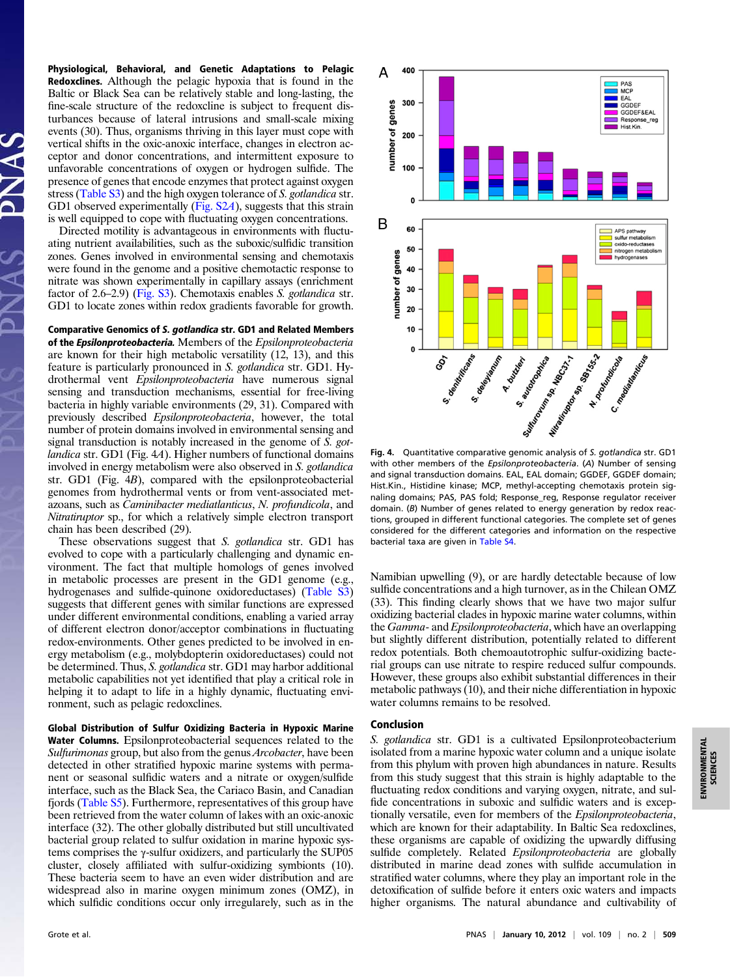Physiological, Behavioral, and Genetic Adaptations to Pelagic Redoxclines. Although the pelagic hypoxia that is found in the Baltic or Black Sea can be relatively stable and long-lasting, the fine-scale structure of the redoxcline is subject to frequent disturbances because of lateral intrusions and small-scale mixing events (30). Thus, organisms thriving in this layer must cope with vertical shifts in the oxic-anoxic interface, changes in electron acceptor and donor concentrations, and intermittent exposure to unfavorable concentrations of oxygen or hydrogen sulfide. The presence of genes that encode enzymes that protect against oxygen stress [\(Table S3\)](http://www.pnas.org/lookup/suppl/doi:10.1073/pnas.1111262109/-/DCSupplemental/pnas.201111262SI.pdf?targetid=nameddest=ST3) and the high oxygen tolerance of S. gotlandica str. GD1 observed experimentally [\(Fig. S2](http://www.pnas.org/lookup/suppl/doi:10.1073/pnas.1111262109/-/DCSupplemental/pnas.201111262SI.pdf?targetid=nameddest=SF2)A), suggests that this strain is well equipped to cope with fluctuating oxygen concentrations.

Directed motility is advantageous in environments with fluctuating nutrient availabilities, such as the suboxic/sulfidic transition zones. Genes involved in environmental sensing and chemotaxis were found in the genome and a positive chemotactic response to nitrate was shown experimentally in capillary assays (enrichment factor of 2.6–2.9) ([Fig. S3\)](http://www.pnas.org/lookup/suppl/doi:10.1073/pnas.1111262109/-/DCSupplemental/pnas.201111262SI.pdf?targetid=nameddest=SF3). Chemotaxis enables S. gotlandica str. GD1 to locate zones within redox gradients favorable for growth.

Comparative Genomics of S. gotlandica str. GD1 and Related Members of the Epsilonproteobacteria. Members of the Epsilonproteobacteria are known for their high metabolic versatility (12, 13), and this feature is particularly pronounced in S. gotlandica str. GD1. Hydrothermal vent Epsilonproteobacteria have numerous signal sensing and transduction mechanisms, essential for free-living bacteria in highly variable environments (29, 31). Compared with previously described Epsilonproteobacteria, however, the total number of protein domains involved in environmental sensing and signal transduction is notably increased in the genome of S. gotlandica str. GD1 (Fig. 4A). Higher numbers of functional domains involved in energy metabolism were also observed in S. gotlandica str. GD1 (Fig. 4B), compared with the epsilonproteobacterial genomes from hydrothermal vents or from vent-associated metazoans, such as Caminibacter mediatlanticus, N. profundicola, and Nitratiruptor sp., for which a relatively simple electron transport chain has been described (29).

These observations suggest that S. gotlandica str. GD1 has evolved to cope with a particularly challenging and dynamic environment. The fact that multiple homologs of genes involved in metabolic processes are present in the GD1 genome (e.g., hydrogenases and sulfide-quinone oxidoreductases) ([Table S3](http://www.pnas.org/lookup/suppl/doi:10.1073/pnas.1111262109/-/DCSupplemental/pnas.201111262SI.pdf?targetid=nameddest=ST3)) suggests that different genes with similar functions are expressed under different environmental conditions, enabling a varied array of different electron donor/acceptor combinations in fluctuating redox-environments. Other genes predicted to be involved in energy metabolism (e.g., molybdopterin oxidoreductases) could not be determined. Thus, S. gotlandica str. GD1 may harbor additional metabolic capabilities not yet identified that play a critical role in helping it to adapt to life in a highly dynamic, fluctuating environment, such as pelagic redoxclines.

Global Distribution of Sulfur Oxidizing Bacteria in Hypoxic Marine Water Columns. Epsilonproteobacterial sequences related to the Sulfurimonas group, but also from the genus *Arcobacter*, have been detected in other stratified hypoxic marine systems with permanent or seasonal sulfidic waters and a nitrate or oxygen/sulfide interface, such as the Black Sea, the Cariaco Basin, and Canadian fjords [\(Table S5\)](http://www.pnas.org/lookup/suppl/doi:10.1073/pnas.1111262109/-/DCSupplemental/pnas.201111262SI.pdf?targetid=nameddest=ST5). Furthermore, representatives of this group have been retrieved from the water column of lakes with an oxic-anoxic interface (32). The other globally distributed but still uncultivated bacterial group related to sulfur oxidation in marine hypoxic systems comprises the  $\gamma$ -sulfur oxidizers, and particularly the SUP05 cluster, closely affiliated with sulfur-oxidizing symbionts (10). These bacteria seem to have an even wider distribution and are widespread also in marine oxygen minimum zones (OMZ), in which sulfidic conditions occur only irregularely, such as in the



with other members of the Epsilonproteobacteria. (A) Number of sensing and signal transduction domains. EAL, EAL domain; GGDEF, GGDEF domain; Hist.Kin., Histidine kinase; MCP, methyl-accepting chemotaxis protein signaling domains; PAS, PAS fold; Response\_reg, Response regulator receiver domain. (B) Number of genes related to energy generation by redox reactions, grouped in different functional categories. The complete set of genes considered for the different categories and information on the respective bacterial taxa are given in [Table S4.](http://www.pnas.org/lookup/suppl/doi:10.1073/pnas.1111262109/-/DCSupplemental/pnas.201111262SI.pdf?targetid=nameddest=ST4)

Namibian upwelling (9), or are hardly detectable because of low sulfide concentrations and a high turnover, as in the Chilean OMZ (33). This finding clearly shows that we have two major sulfur oxidizing bacterial clades in hypoxic marine water columns, within the Gamma- and Epsilonproteobacteria, which have an overlapping but slightly different distribution, potentially related to different redox potentials. Both chemoautotrophic sulfur-oxidizing bacterial groups can use nitrate to respire reduced sulfur compounds. However, these groups also exhibit substantial differences in their metabolic pathways (10), and their niche differentiation in hypoxic water columns remains to be resolved.

## Conclusion

S. gotlandica str. GD1 is a cultivated Epsilonproteobacterium isolated from a marine hypoxic water column and a unique isolate from this phylum with proven high abundances in nature. Results from this study suggest that this strain is highly adaptable to the fluctuating redox conditions and varying oxygen, nitrate, and sulfide concentrations in suboxic and sulfidic waters and is exceptionally versatile, even for members of the Epsilonproteobacteria, which are known for their adaptability. In Baltic Sea redoxclines, these organisms are capable of oxidizing the upwardly diffusing sulfide completely. Related *Epsilonproteobacteria* are globally distributed in marine dead zones with sulfide accumulation in stratified water columns, where they play an important role in the detoxification of sulfide before it enters oxic waters and impacts higher organisms. The natural abundance and cultivability of